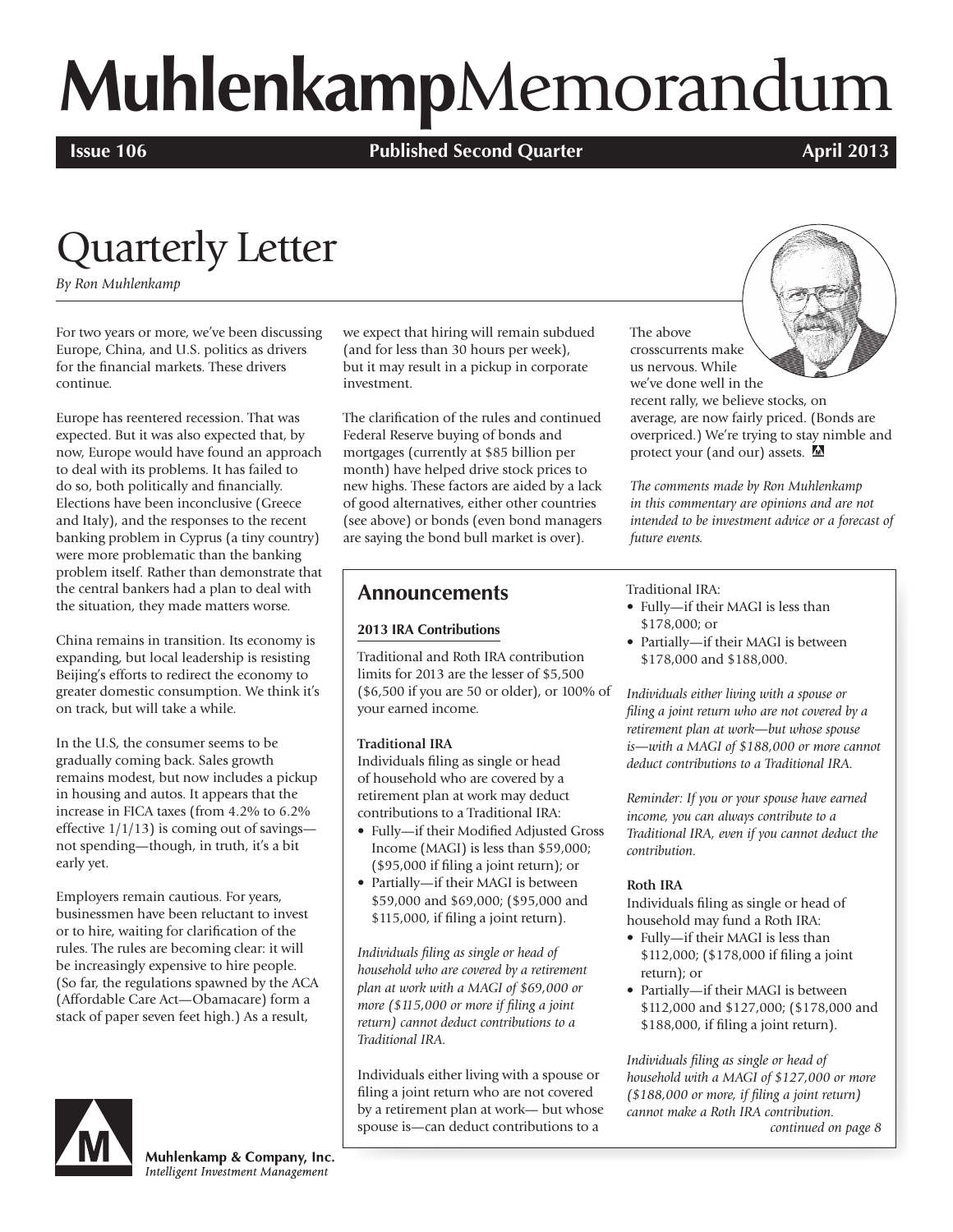# **Muhlenkamp**Memorandum

**Issue 106 Published Second Quarter April 2013 April 2013** 

### Quarterly Letter

*By Ron Muhlenkamp*

For two years or more, we've been discussing Europe, China, and U.S. politics as drivers for the financial markets. These drivers continue.

Europe has reentered recession. That was expected. But it was also expected that, by now, Europe would have found an approach to deal with its problems. It has failed to do so, both politically and financially. Elections have been inconclusive (Greece and Italy), and the responses to the recent banking problem in Cyprus (a tiny country) were more problematic than the banking problem itself. Rather than demonstrate that the central bankers had a plan to deal with the situation, they made matters worse.

China remains in transition. Its economy is expanding, but local leadership is resisting Beijing's efforts to redirect the economy to greater domestic consumption. We think it's on track, but will take a while.

In the U.S, the consumer seems to be gradually coming back. Sales growth remains modest, but now includes a pickup in housing and autos. It appears that the increase in FICA taxes (from 4.2% to 6.2% effective  $1/1/13$ ) is coming out of savings not spending—though, in truth, it's a bit early yet.

Employers remain cautious. For years, businessmen have been reluctant to invest or to hire, waiting for clarification of the rules. The rules are becoming clear: it will be increasingly expensive to hire people. (So far, the regulations spawned by the ACA (Affordable Care Act—Obamacare) form a stack of paper seven feet high.) As a result,

we expect that hiring will remain subdued (and for less than 30 hours per week), but it may result in a pickup in corporate investment.

The clarification of the rules and continued Federal Reserve buying of bonds and mortgages (currently at \$85 billion per month) have helped drive stock prices to new highs. These factors are aided by a lack of good alternatives, either other countries (see above) or bonds (even bond managers are saying the bond bull market is over).

### **Announcements**

### **2013 IRA Contributions**

Traditional and Roth IRA contribution limits for 2013 are the lesser of \$5,500 (\$6,500 if you are 50 or older), or 100% of your earned income.

### **Traditional IRA**

Individuals filing as single or head of household who are covered by a retirement plan at work may deduct contributions to a Traditional IRA:

- Fully—if their Modified Adjusted Gross Income (MAGI) is less than \$59,000; (\$95,000 if filing a joint return); or
- Partially—if their MAGI is between \$59,000 and \$69,000; (\$95,000 and \$115,000, if filing a joint return).

*Individuals filing as single or head of household who are covered by a retirement plan at work with a MAGI of \$69,000 or more (\$115,000 or more if filing a joint return) cannot deduct contributions to a Traditional IRA.*

Individuals either living with a spouse or filing a joint return who are not covered by a retirement plan at work— but whose spouse is—can deduct contributions to a

The above crosscurrents make us nervous. While



we've done well in the recent rally, we believe stocks, on average, are now fairly priced. (Bonds are overpriced.) We're trying to stay nimble and protect your (and our) assets. M

*The comments made by Ron Muhlenkamp in this commentary are opinions and are not intended to be investment advice or a forecast of future events.*

Traditional IRA:

- Fully—if their MAGI is less than \$178,000; or
- Partially—if their MAGI is between \$178,000 and \$188,000.

*Individuals either living with a spouse or filing a joint return who are not covered by a retirement plan at work—but whose spouse is—with a MAGI of \$188,000 or more cannot deduct contributions to a Traditional IRA.* 

*Reminder: If you or your spouse have earned income, you can always contribute to a Traditional IRA, even if you cannot deduct the contribution.* 

### **Roth IRA**

Individuals filing as single or head of household may fund a Roth IRA:

- Fully—if their MAGI is less than \$112,000; (\$178,000 if filing a joint return); or
- Partially—if their MAGI is between \$112,000 and \$127,000; (\$178,000 and \$188,000, if filing a joint return).

*Individuals filing as single or head of household with a MAGI of \$127,000 or more (\$188,000 or more, if filing a joint return) cannot make a Roth IRA contribution. continued on page 8*



Muhlenkamp & Company, Inc. Intelligent Investment Management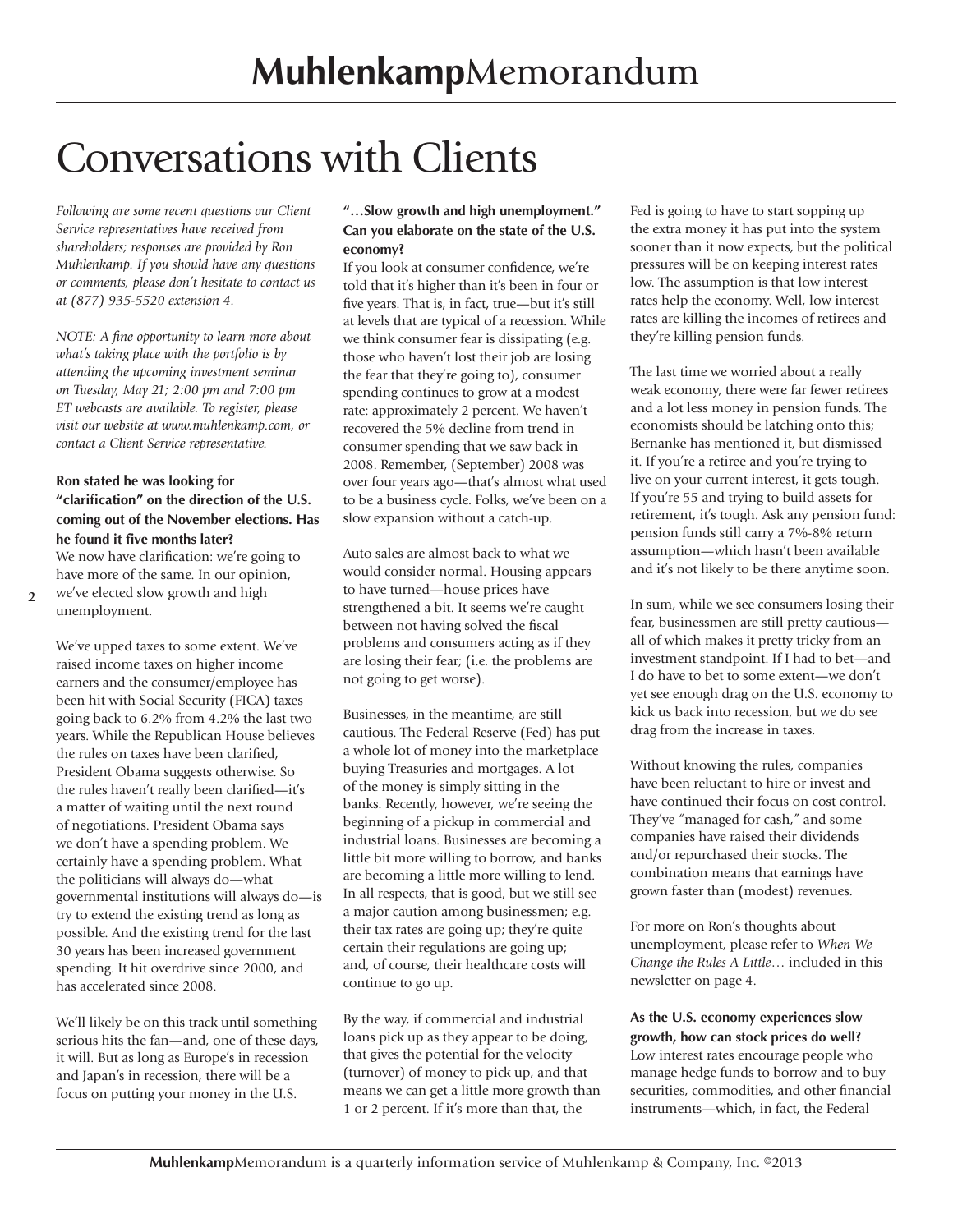### Conversations with Clients

*Following are some recent questions our Client Service representatives have received from shareholders; responses are provided by Ron Muhlenkamp. If you should have any questions or comments, please don't hesitate to contact us at (877) 935-5520 extension 4.*

*NOTE: A fine opportunity to learn more about what's taking place with the portfolio is by attending the upcoming investment seminar on Tuesday, May 21; 2:00 pm and 7:00 pm ET webcasts are available. To register, please visit our website at www.muhlenkamp.com, or contact a Client Service representative.*

### **Ron stated he was looking for "clarification" on the direction of the U.S. coming out of the November elections. Has he found it five months later?**

We now have clarification: we're going to have more of the same. In our opinion, we've elected slow growth and high unemployment.

**2**

We've upped taxes to some extent. We've raised income taxes on higher income earners and the consumer/employee has been hit with Social Security (FICA) taxes going back to 6.2% from 4.2% the last two years. While the Republican House believes the rules on taxes have been clarified, President Obama suggests otherwise. So the rules haven't really been clarified—it's a matter of waiting until the next round of negotiations. President Obama says we don't have a spending problem. We certainly have a spending problem. What the politicians will always do—what governmental institutions will always do—is try to extend the existing trend as long as possible. And the existing trend for the last 30 years has been increased government spending. It hit overdrive since 2000, and has accelerated since 2008.

We'll likely be on this track until something serious hits the fan—and, one of these days, it will. But as long as Europe's in recession and Japan's in recession, there will be a focus on putting your money in the U.S.

### **"…Slow growth and high unemployment." Can you elaborate on the state of the U.S. economy?**

If you look at consumer confidence, we're told that it's higher than it's been in four or five years. That is, in fact, true—but it's still at levels that are typical of a recession. While we think consumer fear is dissipating (e.g. those who haven't lost their job are losing the fear that they're going to), consumer spending continues to grow at a modest rate: approximately 2 percent. We haven't recovered the 5% decline from trend in consumer spending that we saw back in 2008. Remember, (September) 2008 was over four years ago—that's almost what used to be a business cycle. Folks, we've been on a slow expansion without a catch-up.

Auto sales are almost back to what we would consider normal. Housing appears to have turned—house prices have strengthened a bit. It seems we're caught between not having solved the fiscal problems and consumers acting as if they are losing their fear; (i.e. the problems are not going to get worse).

Businesses, in the meantime, are still cautious. The Federal Reserve (Fed) has put a whole lot of money into the marketplace buying Treasuries and mortgages. A lot of the money is simply sitting in the banks. Recently, however, we're seeing the beginning of a pickup in commercial and industrial loans. Businesses are becoming a little bit more willing to borrow, and banks are becoming a little more willing to lend. In all respects, that is good, but we still see a major caution among businessmen; e.g. their tax rates are going up; they're quite certain their regulations are going up; and, of course, their healthcare costs will continue to go up.

By the way, if commercial and industrial loans pick up as they appear to be doing, that gives the potential for the velocity (turnover) of money to pick up, and that means we can get a little more growth than 1 or 2 percent. If it's more than that, the

Fed is going to have to start sopping up the extra money it has put into the system sooner than it now expects, but the political pressures will be on keeping interest rates low. The assumption is that low interest rates help the economy. Well, low interest rates are killing the incomes of retirees and they're killing pension funds.

The last time we worried about a really weak economy, there were far fewer retirees and a lot less money in pension funds. The economists should be latching onto this; Bernanke has mentioned it, but dismissed it. If you're a retiree and you're trying to live on your current interest, it gets tough. If you're 55 and trying to build assets for retirement, it's tough. Ask any pension fund: pension funds still carry a 7%-8% return assumption—which hasn't been available and it's not likely to be there anytime soon.

In sum, while we see consumers losing their fear, businessmen are still pretty cautious all of which makes it pretty tricky from an investment standpoint. If I had to bet—and I do have to bet to some extent—we don't yet see enough drag on the U.S. economy to kick us back into recession, but we do see drag from the increase in taxes.

Without knowing the rules, companies have been reluctant to hire or invest and have continued their focus on cost control. They've "managed for cash," and some companies have raised their dividends and/or repurchased their stocks. The combination means that earnings have grown faster than (modest) revenues.

For more on Ron's thoughts about unemployment, please refer to *When We Change the Rules A Little*… included in this newsletter on page 4.

**As the U.S. economy experiences slow growth, how can stock prices do well?** Low interest rates encourage people who

manage hedge funds to borrow and to buy securities, commodities, and other financial instruments—which, in fact, the Federal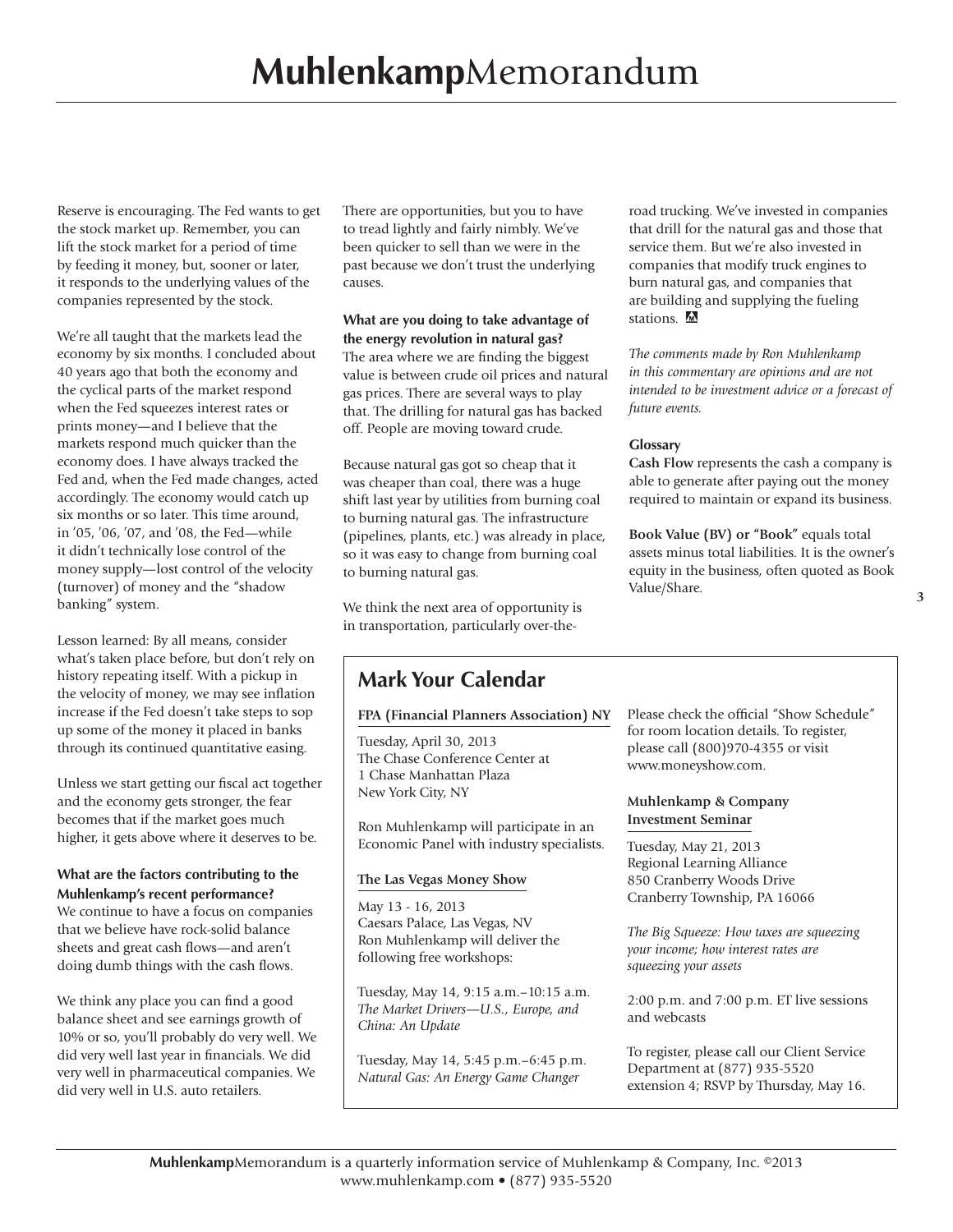Reserve is encouraging. The Fed wants to get the stock market up. Remember, you can lift the stock market for a period of time by feeding it money, but, sooner or later, it responds to the underlying values of the companies represented by the stock.

We're all taught that the markets lead the economy by six months. I concluded about 40 years ago that both the economy and the cyclical parts of the market respond when the Fed squeezes interest rates or prints money—and I believe that the markets respond much quicker than the economy does. I have always tracked the Fed and, when the Fed made changes, acted accordingly. The economy would catch up six months or so later. This time around, in '05, '06, '07, and '08, the Fed—while it didn't technically lose control of the money supply—lost control of the velocity (turnover) of money and the "shadow banking" system.

Lesson learned: By all means, consider what's taken place before, but don't rely on history repeating itself. With a pickup in the velocity of money, we may see inflation increase if the Fed doesn't take steps to sop up some of the money it placed in banks through its continued quantitative easing.

Unless we start getting our fiscal act together and the economy gets stronger, the fear becomes that if the market goes much higher, it gets above where it deserves to be.

### **What are the factors contributing to the Muhlenkamp's recent performance?**

We continue to have a focus on companies that we believe have rock-solid balance sheets and great cash flows—and aren't doing dumb things with the cash flows.

We think any place you can find a good balance sheet and see earnings growth of 10% or so, you'll probably do very well. We did very well last year in financials. We did very well in pharmaceutical companies. We did very well in U.S. auto retailers.

There are opportunities, but you to have to tread lightly and fairly nimbly. We've been quicker to sell than we were in the past because we don't trust the underlying causes.

### **What are you doing to take advantage of the energy revolution in natural gas?**

The area where we are finding the biggest value is between crude oil prices and natural gas prices. There are several ways to play that. The drilling for natural gas has backed off. People are moving toward crude.

Because natural gas got so cheap that it was cheaper than coal, there was a huge shift last year by utilities from burning coal to burning natural gas. The infrastructure (pipelines, plants, etc.) was already in place, so it was easy to change from burning coal to burning natural gas.

We think the next area of opportunity is in transportation, particularly over-theroad trucking. We've invested in companies that drill for the natural gas and those that service them. But we're also invested in companies that modify truck engines to burn natural gas, and companies that are building and supplying the fueling stations.  $\blacksquare$ 

*The comments made by Ron Muhlenkamp in this commentary are opinions and are not intended to be investment advice or a forecast of future events.*

### **Glossary**

**Cash Flow** represents the cash a company is able to generate after paying out the money required to maintain or expand its business.

**Book Value (BV) or "Book"** equals total assets minus total liabilities. It is the owner's equity in the business, often quoted as Book Value/Share.

### **Mark Your Calendar**

### **FPA (Financial Planners Association) NY**

Tuesday, April 30, 2013 The Chase Conference Center at 1 Chase Manhattan Plaza New York City, NY

Ron Muhlenkamp will participate in an Economic Panel with industry specialists.

### **The Las Vegas Money Show**

May 13 - 16, 2013 Caesars Palace, Las Vegas, NV Ron Muhlenkamp will deliver the following free workshops:

Tuesday, May 14, 9:15 a.m.–10:15 a.m. *The Market Drivers—U.S., Europe, and China: An Update*

Tuesday, May 14, 5:45 p.m.–6:45 p.m. *Natural Gas: An Energy Game Changer*

Please check the official "Show Schedule" for room location details. To register, please call (800)970-4355 or visit www.moneyshow.com.

### **Muhlenkamp & Company Investment Seminar**

Tuesday, May 21, 2013 Regional Learning Alliance 850 Cranberry Woods Drive Cranberry Township, PA 16066

*The Big Squeeze: How taxes are squeezing your income; how interest rates are squeezing your assets*

2:00 p.m. and 7:00 p.m. ET live sessions and webcasts

To register, please call our Client Service Department at (877) 935-5520 extension 4; RSVP by Thursday, May 16.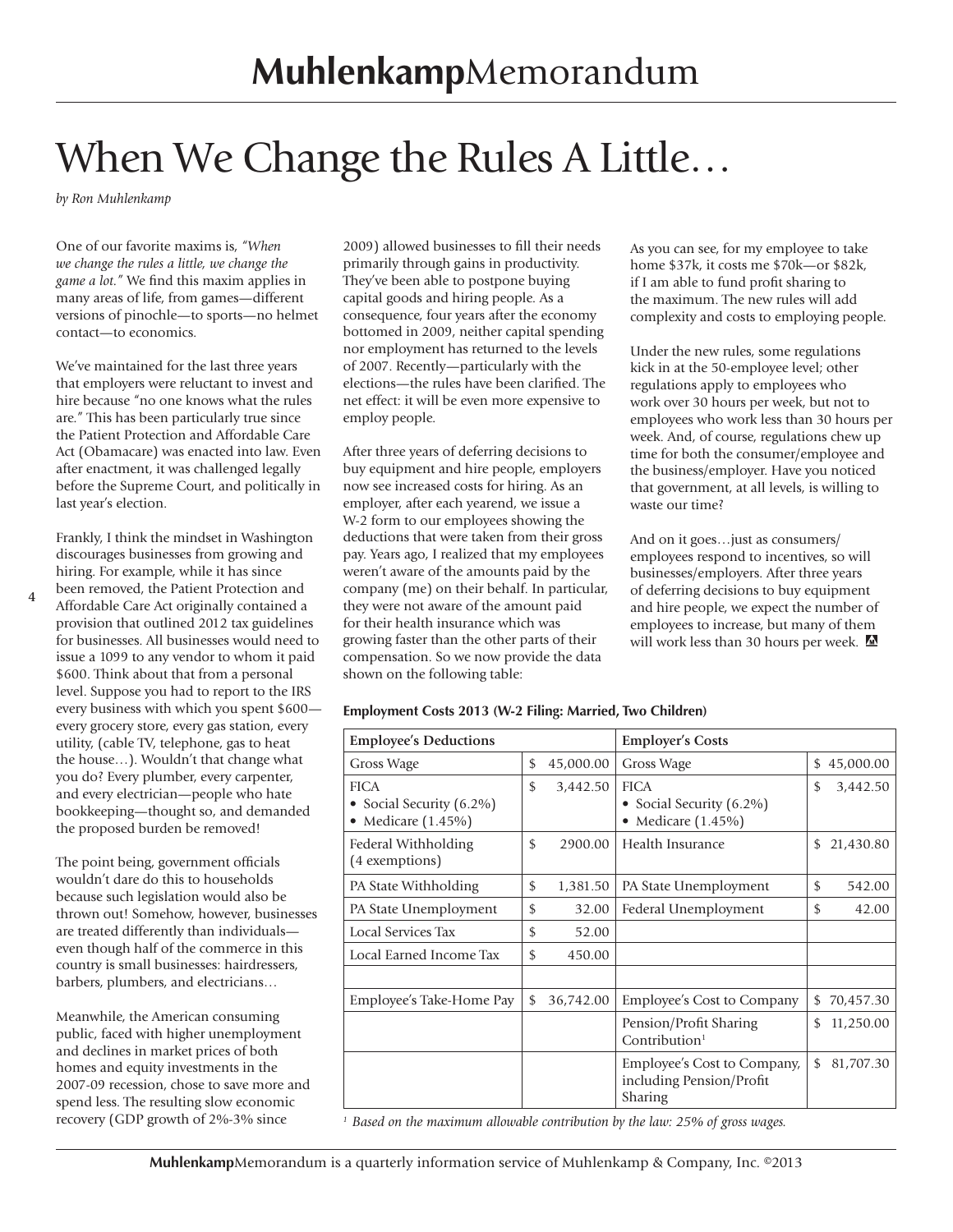### When We Change the Rules A Little...

*by Ron Muhlenkamp*

**4**

One of our favorite maxims is, *"When we change the rules a little, we change the game a lot."* We find this maxim applies in many areas of life, from games—different versions of pinochle—to sports—no helmet contact—to economics.

We've maintained for the last three years that employers were reluctant to invest and hire because "no one knows what the rules are." This has been particularly true since the Patient Protection and Affordable Care Act (Obamacare) was enacted into law. Even after enactment, it was challenged legally before the Supreme Court, and politically in last year's election.

Frankly, I think the mindset in Washington discourages businesses from growing and hiring. For example, while it has since been removed, the Patient Protection and Affordable Care Act originally contained a provision that outlined 2012 tax guidelines for businesses. All businesses would need to issue a 1099 to any vendor to whom it paid \$600. Think about that from a personal level. Suppose you had to report to the IRS every business with which you spent \$600 every grocery store, every gas station, every utility, (cable TV, telephone, gas to heat the house…). Wouldn't that change what you do? Every plumber, every carpenter, and every electrician—people who hate bookkeeping—thought so, and demanded the proposed burden be removed!

The point being, government officials wouldn't dare do this to households because such legislation would also be thrown out! Somehow, however, businesses are treated differently than individuals even though half of the commerce in this country is small businesses: hairdressers, barbers, plumbers, and electricians…

Meanwhile, the American consuming public, faced with higher unemployment and declines in market prices of both homes and equity investments in the 2007-09 recession, chose to save more and spend less. The resulting slow economic recovery (GDP growth of 2%-3% since

2009) allowed businesses to fill their needs primarily through gains in productivity. They've been able to postpone buying capital goods and hiring people. As a consequence, four years after the economy bottomed in 2009, neither capital spending nor employment has returned to the levels of 2007. Recently—particularly with the elections—the rules have been clarified. The net effect: it will be even more expensive to employ people.

After three years of deferring decisions to buy equipment and hire people, employers now see increased costs for hiring. As an employer, after each yearend, we issue a W-2 form to our employees showing the deductions that were taken from their gross pay. Years ago, I realized that my employees weren't aware of the amounts paid by the company (me) on their behalf. In particular, they were not aware of the amount paid for their health insurance which was growing faster than the other parts of their compensation. So we now provide the data shown on the following table:

As you can see, for my employee to take home \$37k, it costs me \$70k—or \$82k, if I am able to fund profit sharing to the maximum. The new rules will add complexity and costs to employing people.

Under the new rules, some regulations kick in at the 50-employee level; other regulations apply to employees who work over 30 hours per week, but not to employees who work less than 30 hours per week. And, of course, regulations chew up time for both the consumer/employee and the business/employer. Have you noticed that government, at all levels, is willing to waste our time?

And on it goes…just as consumers/ employees respond to incentives, so will businesses/employers. After three years of deferring decisions to buy equipment and hire people, we expect the number of employees to increase, but many of them will work less than 30 hours per week.

#### **Employment Costs 2013 (W-2 Filing: Married, Two Children)**

| <b>Employee's Deductions</b>                                             |               |           | <b>Employer's Costs</b>                                            |                |             |
|--------------------------------------------------------------------------|---------------|-----------|--------------------------------------------------------------------|----------------|-------------|
| Gross Wage                                                               | \$            | 45,000.00 | Gross Wage                                                         |                | \$45,000.00 |
| <b>FICA</b><br>• Social Security (6.2%)<br>Medicare (1.45%)<br>$\bullet$ | \$            | 3,442.50  | <b>FICA</b><br>• Social Security (6.2%)<br>Medicare (1.45%)        | \$             | 3,442.50    |
| Federal Withholding<br>(4 exemptions)                                    | $\mathcal{S}$ | 2900.00   | Health Insurance                                                   | \$             | 21,430.80   |
| PA State Withholding                                                     | \$            | 1,381.50  | PA State Unemployment                                              | \$             | 542.00      |
| PA State Unemployment                                                    | \$            | 32.00     | Federal Unemployment                                               | \$             | 42.00       |
| Local Services Tax                                                       | \$            | 52.00     |                                                                    |                |             |
| Local Earned Income Tax                                                  | \$            | 450.00    |                                                                    |                |             |
|                                                                          |               |           |                                                                    |                |             |
| Employee's Take-Home Pay                                                 | \$            | 36,742.00 | Employee's Cost to Company                                         | \$             | 70,457.30   |
|                                                                          |               |           | Pension/Profit Sharing<br>Contribution $1$                         | \$             | 11,250.00   |
|                                                                          |               |           | Employee's Cost to Company,<br>including Pension/Profit<br>Sharing | $\mathfrak{L}$ | 81,707.30   |

*<sup>1</sup> Based on the maximum allowable contribution by the law: 25% of gross wages.*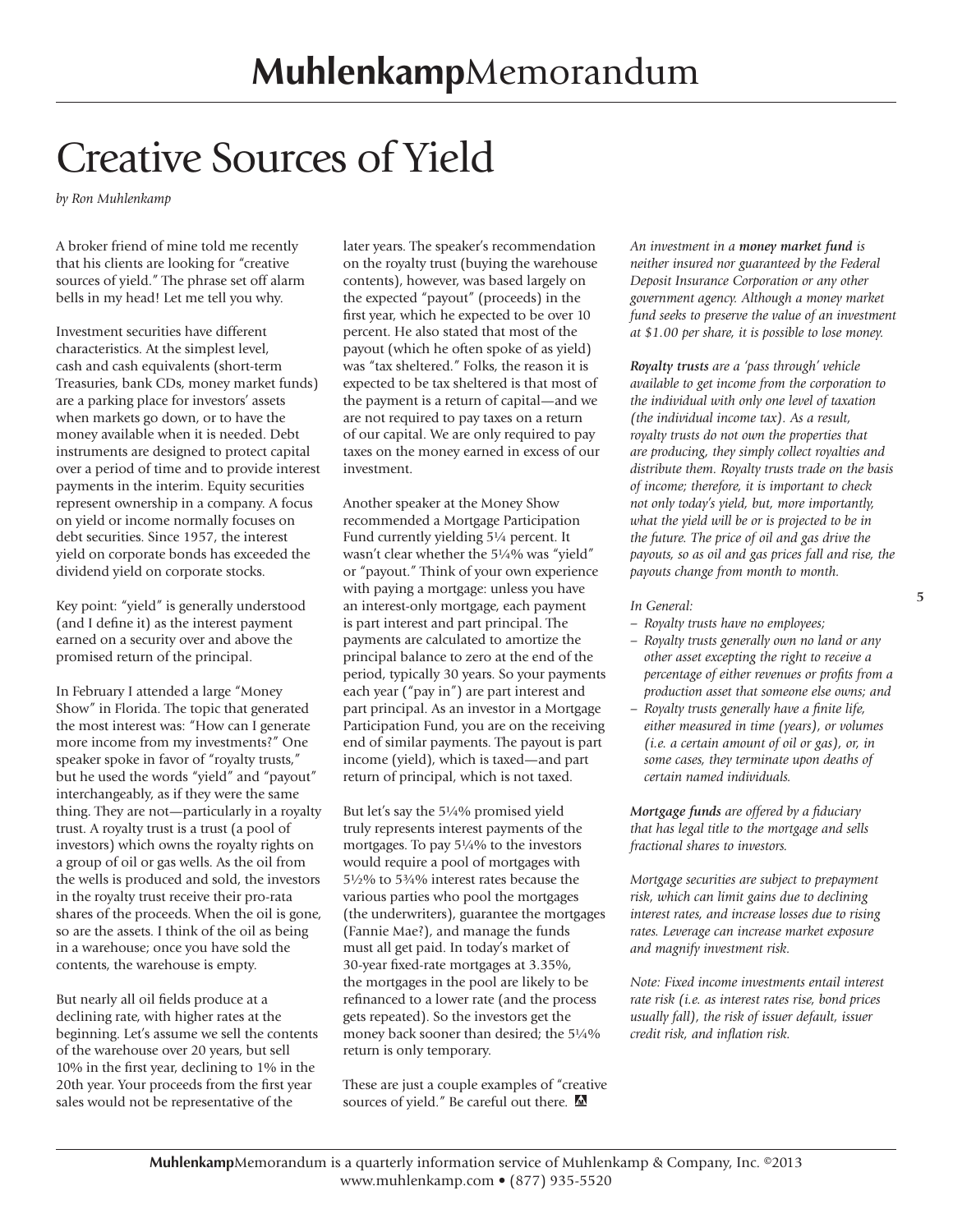### Creative Sources of Yield

*by Ron Muhlenkamp*

A broker friend of mine told me recently that his clients are looking for "creative sources of yield." The phrase set off alarm bells in my head! Let me tell you why.

Investment securities have different characteristics. At the simplest level, cash and cash equivalents (short-term Treasuries, bank CDs, money market funds) are a parking place for investors' assets when markets go down, or to have the money available when it is needed. Debt instruments are designed to protect capital over a period of time and to provide interest payments in the interim. Equity securities represent ownership in a company. A focus on yield or income normally focuses on debt securities. Since 1957, the interest yield on corporate bonds has exceeded the dividend yield on corporate stocks.

Key point: "yield" is generally understood (and I define it) as the interest payment earned on a security over and above the promised return of the principal.

In February I attended a large "Money Show" in Florida. The topic that generated the most interest was: "How can I generate more income from my investments?" One speaker spoke in favor of "royalty trusts," but he used the words "yield" and "payout" interchangeably, as if they were the same thing. They are not—particularly in a royalty trust. A royalty trust is a trust (a pool of investors) which owns the royalty rights on a group of oil or gas wells. As the oil from the wells is produced and sold, the investors in the royalty trust receive their pro-rata shares of the proceeds. When the oil is gone, so are the assets. I think of the oil as being in a warehouse; once you have sold the contents, the warehouse is empty.

But nearly all oil fields produce at a declining rate, with higher rates at the beginning. Let's assume we sell the contents of the warehouse over 20 years, but sell 10% in the first year, declining to 1% in the 20th year. Your proceeds from the first year sales would not be representative of the

later years. The speaker's recommendation on the royalty trust (buying the warehouse contents), however, was based largely on the expected "payout" (proceeds) in the first year, which he expected to be over 10 percent. He also stated that most of the payout (which he often spoke of as yield) was "tax sheltered." Folks, the reason it is expected to be tax sheltered is that most of the payment is a return of capital—and we are not required to pay taxes on a return of our capital. We are only required to pay taxes on the money earned in excess of our investment.

Another speaker at the Money Show recommended a Mortgage Participation Fund currently yielding 5¼ percent. It wasn't clear whether the 51/4% was "yield" or "payout." Think of your own experience with paying a mortgage: unless you have an interest-only mortgage, each payment is part interest and part principal. The payments are calculated to amortize the principal balance to zero at the end of the period, typically 30 years. So your payments each year ("pay in") are part interest and part principal. As an investor in a Mortgage Participation Fund, you are on the receiving end of similar payments. The payout is part income (yield), which is taxed—and part return of principal, which is not taxed.

But let's say the 5¼% promised yield truly represents interest payments of the mortgages. To pay  $5\frac{1}{4}\%$  to the investors would require a pool of mortgages with 5½% to 5¾% interest rates because the various parties who pool the mortgages (the underwriters), guarantee the mortgages (Fannie Mae?), and manage the funds must all get paid. In today's market of 30-year fixed-rate mortgages at 3.35%, the mortgages in the pool are likely to be refinanced to a lower rate (and the process gets repeated). So the investors get the money back sooner than desired; the 5¼% return is only temporary.

These are just a couple examples of "creative sources of yield." Be careful out there. M

*An investment in a money market fund is neither insured nor guaranteed by the Federal Deposit Insurance Corporation or any other government agency. Although a money market fund seeks to preserve the value of an investment at \$1.00 per share, it is possible to lose money.* 

*Royalty trusts are a 'pass through' vehicle available to get income from the corporation to the individual with only one level of taxation (the individual income tax). As a result, royalty trusts do not own the properties that are producing, they simply collect royalties and distribute them. Royalty trusts trade on the basis of income; therefore, it is important to check not only today's yield, but, more importantly, what the yield will be or is projected to be in the future. The price of oil and gas drive the payouts, so as oil and gas prices fall and rise, the payouts change from month to month.*

#### *In General:*

- *Royalty trusts have no employees;*
- *Royalty trusts generally own no land or any other asset excepting the right to receive a percentage of either revenues or profits from a production asset that someone else owns; and*
- *Royalty trusts generally have a finite life, either measured in time (years), or volumes (i.e. a certain amount of oil or gas), or, in some cases, they terminate upon deaths of certain named individuals.*

*Mortgage funds are offered by a fiduciary that has legal title to the mortgage and sells fractional shares to investors.* 

*Mortgage securities are subject to prepayment risk, which can limit gains due to declining interest rates, and increase losses due to rising rates. Leverage can increase market exposure and magnify investment risk.* 

*Note: Fixed income investments entail interest rate risk (i.e. as interest rates rise, bond prices usually fall), the risk of issuer default, issuer credit risk, and inflation risk.*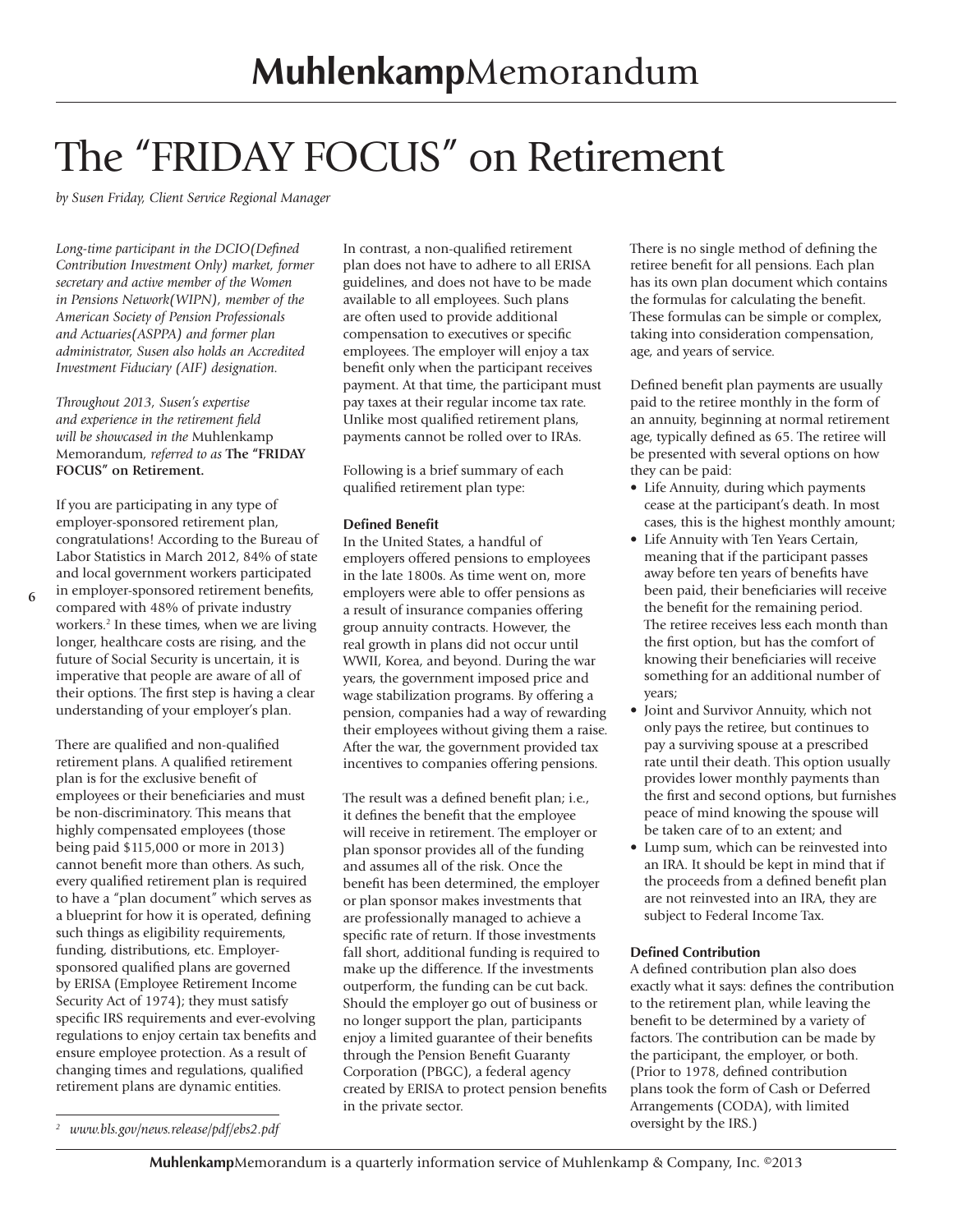### The "FRIDAY FOCUS" on Retirement

*by Susen Friday, Client Service Regional Manager*

*Long-time participant in the DCIO(Defined Contribution Investment Only) market, former secretary and active member of the Women in Pensions Network(WIPN), member of the American Society of Pension Professionals and Actuaries(ASPPA) and former plan administrator, Susen also holds an Accredited Investment Fiduciary (AIF) designation.*

*Throughout 2013, Susen's expertise and experience in the retirement field will be showcased in the* Muhlenkamp Memorandum*, referred to as* **The "FRIDAY FOCUS" on Retirement.**

If you are participating in any type of employer-sponsored retirement plan, congratulations! According to the Bureau of Labor Statistics in March 2012, 84% of state and local government workers participated in employer-sponsored retirement benefits, compared with 48% of private industry workers.<sup>2</sup> In these times, when we are living longer, healthcare costs are rising, and the future of Social Security is uncertain, it is imperative that people are aware of all of their options. The first step is having a clear understanding of your employer's plan.

There are qualified and non-qualified retirement plans. A qualified retirement plan is for the exclusive benefit of employees or their beneficiaries and must be non-discriminatory. This means that highly compensated employees (those being paid \$115,000 or more in 2013) cannot benefit more than others. As such, every qualified retirement plan is required to have a "plan document" which serves as a blueprint for how it is operated, defining such things as eligibility requirements, funding, distributions, etc. Employersponsored qualified plans are governed by ERISA (Employee Retirement Income Security Act of 1974); they must satisfy specific IRS requirements and ever-evolving regulations to enjoy certain tax benefits and ensure employee protection. As a result of changing times and regulations, qualified retirement plans are dynamic entities.

In contrast, a non-qualified retirement plan does not have to adhere to all ERISA guidelines, and does not have to be made available to all employees. Such plans are often used to provide additional compensation to executives or specific employees. The employer will enjoy a tax benefit only when the participant receives payment. At that time, the participant must pay taxes at their regular income tax rate. Unlike most qualified retirement plans, payments cannot be rolled over to IRAs.

Following is a brief summary of each qualified retirement plan type:

#### **Defined Benefit**

In the United States, a handful of employers offered pensions to employees in the late 1800s. As time went on, more employers were able to offer pensions as a result of insurance companies offering group annuity contracts. However, the real growth in plans did not occur until WWII, Korea, and beyond. During the war years, the government imposed price and wage stabilization programs. By offering a pension, companies had a way of rewarding their employees without giving them a raise. After the war, the government provided tax incentives to companies offering pensions.

The result was a defined benefit plan; i.e., it defines the benefit that the employee will receive in retirement. The employer or plan sponsor provides all of the funding and assumes all of the risk. Once the benefit has been determined, the employer or plan sponsor makes investments that are professionally managed to achieve a specific rate of return. If those investments fall short, additional funding is required to make up the difference. If the investments outperform, the funding can be cut back. Should the employer go out of business or no longer support the plan, participants enjoy a limited guarantee of their benefits through the Pension Benefit Guaranty Corporation (PBGC), a federal agency created by ERISA to protect pension benefits in the private sector.

There is no single method of defining the retiree benefit for all pensions. Each plan has its own plan document which contains the formulas for calculating the benefit. These formulas can be simple or complex, taking into consideration compensation, age, and years of service.

Defined benefit plan payments are usually paid to the retiree monthly in the form of an annuity, beginning at normal retirement age, typically defined as 65. The retiree will be presented with several options on how they can be paid:

- Life Annuity, during which payments cease at the participant's death. In most cases, this is the highest monthly amount;
- Life Annuity with Ten Years Certain, meaning that if the participant passes away before ten years of benefits have been paid, their beneficiaries will receive the benefit for the remaining period. The retiree receives less each month than the first option, but has the comfort of knowing their beneficiaries will receive something for an additional number of years;
- Joint and Survivor Annuity, which not only pays the retiree, but continues to pay a surviving spouse at a prescribed rate until their death. This option usually provides lower monthly payments than the first and second options, but furnishes peace of mind knowing the spouse will be taken care of to an extent; and
- Lump sum, which can be reinvested into an IRA. It should be kept in mind that if the proceeds from a defined benefit plan are not reinvested into an IRA, they are subject to Federal Income Tax.

#### **Defined Contribution**

A defined contribution plan also does exactly what it says: defines the contribution to the retirement plan, while leaving the benefit to be determined by a variety of factors. The contribution can be made by the participant, the employer, or both. (Prior to 1978, defined contribution plans took the form of Cash or Deferred Arrangements (CODA), with limited

*z www.bls.gov/news.release/pdf/ebs2.pdf absolute the IRS.*) *oversight by the IRS.*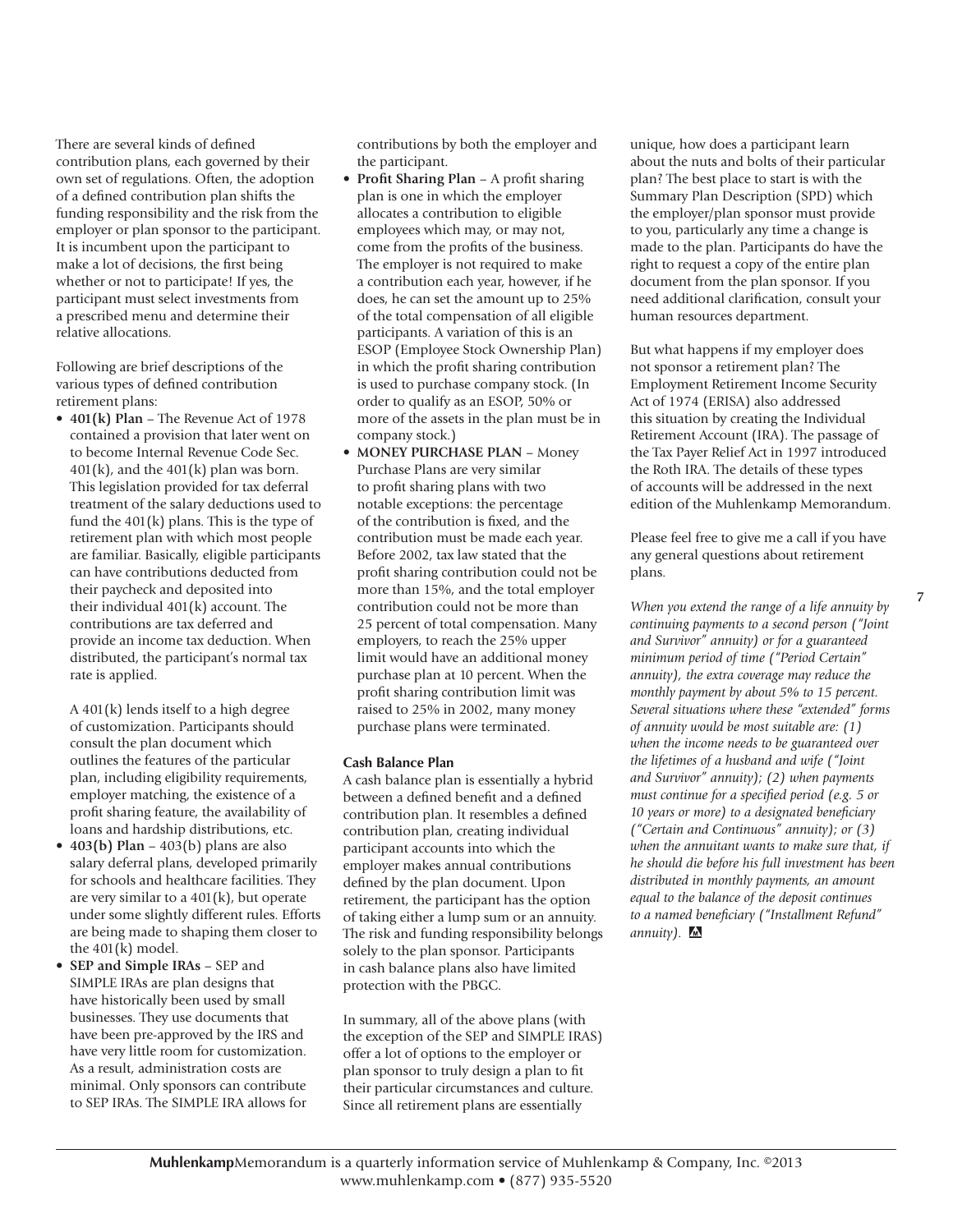There are several kinds of defined contribution plans, each governed by their own set of regulations. Often, the adoption of a defined contribution plan shifts the funding responsibility and the risk from the employer or plan sponsor to the participant. It is incumbent upon the participant to make a lot of decisions, the first being whether or not to participate! If yes, the participant must select investments from a prescribed menu and determine their relative allocations.

Following are brief descriptions of the various types of defined contribution retirement plans:

• **401(k) Plan** – The Revenue Act of 1978 contained a provision that later went on to become Internal Revenue Code Sec.  $401(k)$ , and the  $401(k)$  plan was born. This legislation provided for tax deferral treatment of the salary deductions used to fund the  $401(k)$  plans. This is the type of retirement plan with which most people are familiar. Basically, eligible participants can have contributions deducted from their paycheck and deposited into their individual 401(k) account. The contributions are tax deferred and provide an income tax deduction. When distributed, the participant's normal tax rate is applied.

A 401(k) lends itself to a high degree of customization. Participants should consult the plan document which outlines the features of the particular plan, including eligibility requirements, employer matching, the existence of a profit sharing feature, the availability of loans and hardship distributions, etc.

- **403(b) Plan** 403(b) plans are also salary deferral plans, developed primarily for schools and healthcare facilities. They are very similar to a 401(k), but operate under some slightly different rules. Efforts are being made to shaping them closer to the 401(k) model.
- **SEP and Simple IRAs** SEP and SIMPLE IRAs are plan designs that have historically been used by small businesses. They use documents that have been pre-approved by the IRS and have very little room for customization. As a result, administration costs are minimal. Only sponsors can contribute to SEP IRAs. The SIMPLE IRA allows for

contributions by both the employer and the participant.

- **Profit Sharing Plan** A profit sharing plan is one in which the employer allocates a contribution to eligible employees which may, or may not, come from the profits of the business. The employer is not required to make a contribution each year, however, if he does, he can set the amount up to 25% of the total compensation of all eligible participants. A variation of this is an ESOP (Employee Stock Ownership Plan) in which the profit sharing contribution is used to purchase company stock. (In order to qualify as an ESOP, 50% or more of the assets in the plan must be in company stock.)
- **MONEY PURCHASE PLAN**  Money Purchase Plans are very similar to profit sharing plans with two notable exceptions: the percentage of the contribution is fixed, and the contribution must be made each year. Before 2002, tax law stated that the profit sharing contribution could not be more than 15%, and the total employer contribution could not be more than 25 percent of total compensation. Many employers, to reach the 25% upper limit would have an additional money purchase plan at 10 percent. When the profit sharing contribution limit was raised to 25% in 2002, many money purchase plans were terminated.

#### **Cash Balance Plan**

A cash balance plan is essentially a hybrid between a defined benefit and a defined contribution plan. It resembles a defined contribution plan, creating individual participant accounts into which the employer makes annual contributions defined by the plan document. Upon retirement, the participant has the option of taking either a lump sum or an annuity. The risk and funding responsibility belongs solely to the plan sponsor. Participants in cash balance plans also have limited protection with the PBGC.

In summary, all of the above plans (with the exception of the SEP and SIMPLE IRAS) offer a lot of options to the employer or plan sponsor to truly design a plan to fit their particular circumstances and culture. Since all retirement plans are essentially

unique, how does a participant learn about the nuts and bolts of their particular plan? The best place to start is with the Summary Plan Description (SPD) which the employer/plan sponsor must provide to you, particularly any time a change is made to the plan. Participants do have the right to request a copy of the entire plan document from the plan sponsor. If you need additional clarification, consult your human resources department.

But what happens if my employer does not sponsor a retirement plan? The Employment Retirement Income Security Act of 1974 (ERISA) also addressed this situation by creating the Individual Retirement Account (IRA). The passage of the Tax Payer Relief Act in 1997 introduced the Roth IRA. The details of these types of accounts will be addressed in the next edition of the Muhlenkamp Memorandum.

Please feel free to give me a call if you have any general questions about retirement plans.

*When you extend the range of a life annuity by continuing payments to a second person ("Joint and Survivor" annuity) or for a guaranteed minimum period of time ("Period Certain" annuity), the extra coverage may reduce the monthly payment by about 5% to 15 percent. Several situations where these "extended" forms of annuity would be most suitable are: (1) when the income needs to be guaranteed over the lifetimes of a husband and wife ("Joint and Survivor" annuity); (2) when payments must continue for a specified period (e.g. 5 or 10 years or more) to a designated beneficiary ("Certain and Continuous" annuity); or (3) when the annuitant wants to make sure that, if he should die before his full investment has been distributed in monthly payments, an amount equal to the balance of the deposit continues to a named beneficiary ("Installment Refund" annuity).*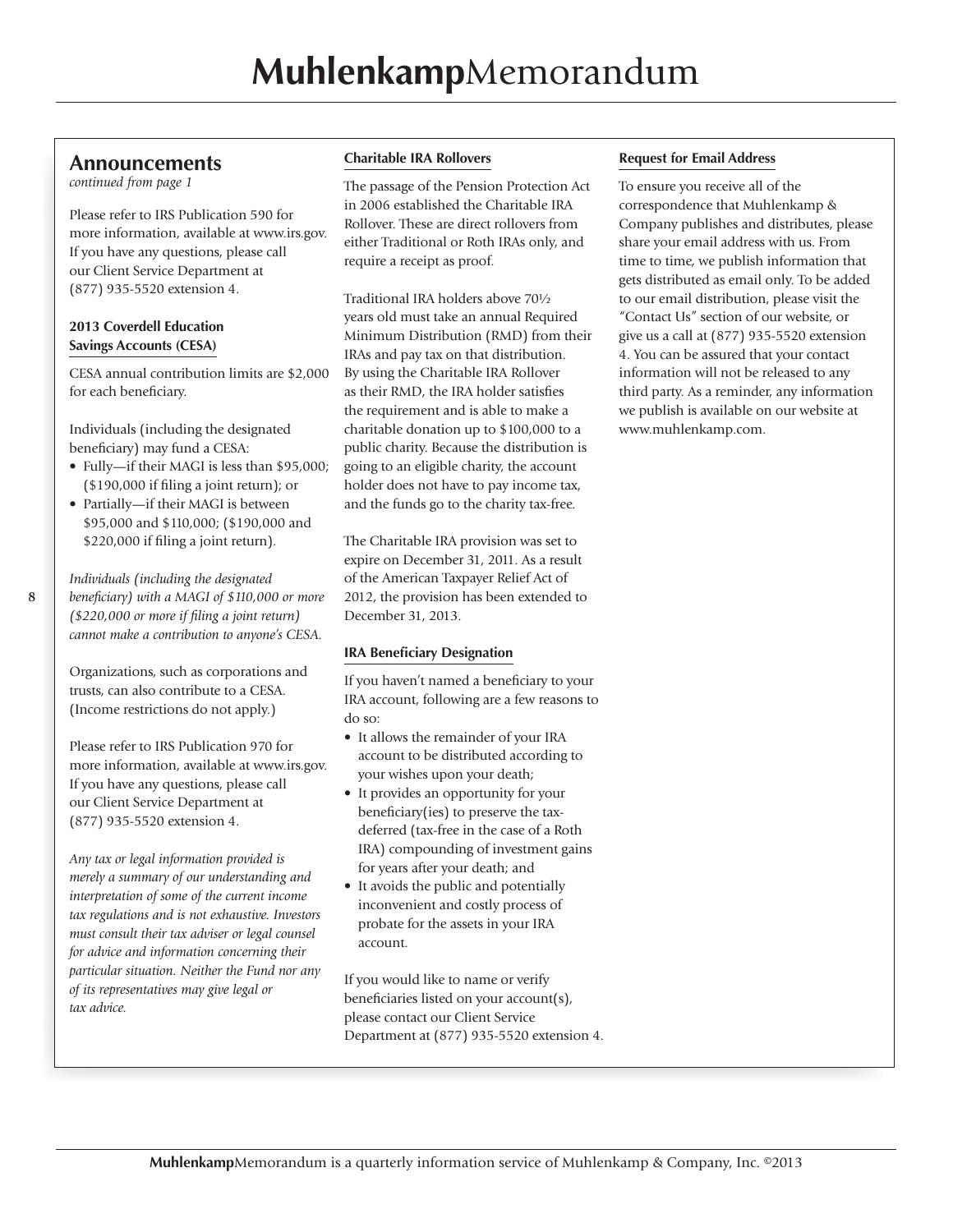### **Announcements**

*continued from page 1*

Please refer to IRS Publication 590 for more information, available at www.irs.gov. If you have any questions, please call our Client Service Department at (877) 935-5520 extension 4.

### **2013 Coverdell Education Savings Accounts (CESA)**

CESA annual contribution limits are \$2,000 for each beneficiary.

Individuals (including the designated beneficiary) may fund a CESA:

- Fully—if their MAGI is less than \$95,000; (\$190,000 if filing a joint return); or
- Partially—if their MAGI is between \$95,000 and \$110,000; (\$190,000 and \$220,000 if filing a joint return).

*Individuals (including the designated beneficiary) with a MAGI of \$110,000 or more (\$220,000 or more if filing a joint return) cannot make a contribution to anyone's CESA.*

Organizations, such as corporations and trusts, can also contribute to a CESA. (Income restrictions do not apply.)

Please refer to IRS Publication 970 for more information, available at www.irs.gov. If you have any questions, please call our Client Service Department at (877) 935-5520 extension 4.

*Any tax or legal information provided is merely a summary of our understanding and interpretation of some of the current income tax regulations and is not exhaustive. Investors must consult their tax adviser or legal counsel for advice and information concerning their particular situation. Neither the Fund nor any of its representatives may give legal or tax advice.*

### **Charitable IRA Rollovers**

The passage of the Pension Protection Act in 2006 established the Charitable IRA Rollover. These are direct rollovers from either Traditional or Roth IRAs only, and require a receipt as proof.

Traditional IRA holders above 70½ years old must take an annual Required Minimum Distribution (RMD) from their IRAs and pay tax on that distribution. By using the Charitable IRA Rollover as their RMD, the IRA holder satisfies the requirement and is able to make a charitable donation up to \$100,000 to a public charity. Because the distribution is going to an eligible charity, the account holder does not have to pay income tax, and the funds go to the charity tax-free.

The Charitable IRA provision was set to expire on December 31, 2011. As a result of the American Taxpayer Relief Act of 2012, the provision has been extended to December 31, 2013.

### **IRA Beneficiary Designation**

If you haven't named a beneficiary to your IRA account, following are a few reasons to do so:

- It allows the remainder of your IRA account to be distributed according to your wishes upon your death;
- It provides an opportunity for your beneficiary(ies) to preserve the taxdeferred (tax-free in the case of a Roth IRA) compounding of investment gains for years after your death; and
- It avoids the public and potentially inconvenient and costly process of probate for the assets in your IRA account.

If you would like to name or verify beneficiaries listed on your account(s), please contact our Client Service Department at (877) 935-5520 extension 4.

### **Request for Email Address**

To ensure you receive all of the correspondence that Muhlenkamp & Company publishes and distributes, please share your email address with us. From time to time, we publish information that gets distributed as email only. To be added to our email distribution, please visit the "Contact Us" section of our website, or give us a call at (877) 935-5520 extension 4. You can be assured that your contact information will not be released to any third party. As a reminder, any information we publish is available on our website at www.muhlenkamp.com.